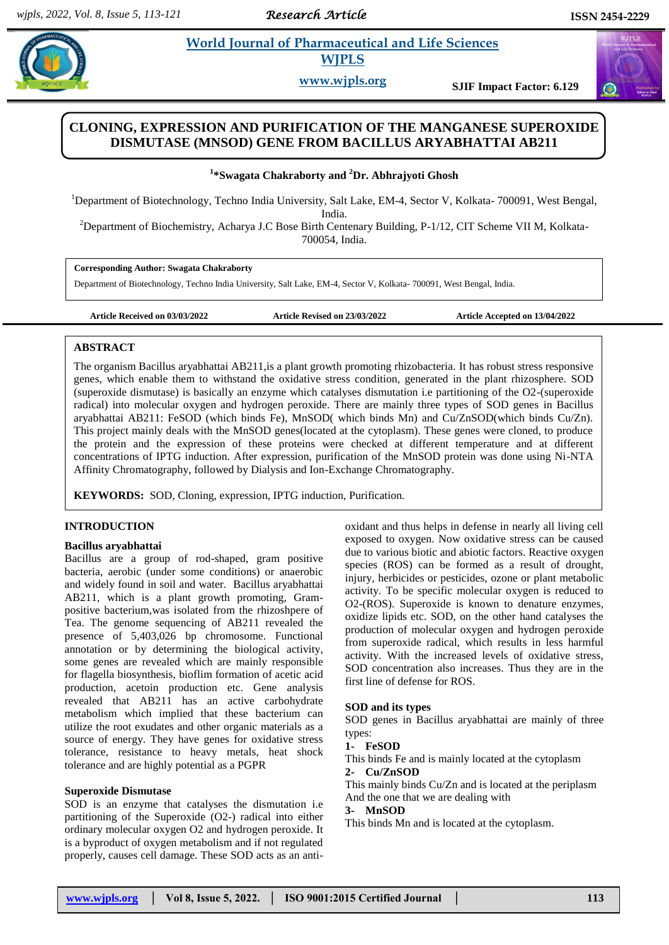*Research Article* 

# **Example 3** *E* **World Journal of Pharmaceutical and Life Sciences <b>A**  *<b>E Postal and Life Sciences* **WJPLS**

**www.wjpls.org SJIF Impact Factor: 6.129**

# **CLONING, EXPRESSION AND PURIFICATION OF THE MANGANESE SUPEROXIDE DISMUTASE (MNSOD) GENE FROM BACILLUS ARYABHATTAI AB211**

# **1 \*Swagata Chakraborty and <sup>2</sup>Dr. Abhrajyoti Ghosh**

<sup>1</sup>Department of Biotechnology, Techno India University, Salt Lake, EM-4, Sector V, Kolkata- 700091, West Bengal,

India.

<sup>2</sup>Department of Biochemistry, Acharya J.C Bose Birth Centenary Building, P-1/12, CIT Scheme VII M, Kolkata-700054, India.

# **Corresponding Author: Swagata Chakraborty**

Department of Biotechnology, Techno India University, Salt Lake, EM-4, Sector V, Kolkata- 700091, West Bengal, India.

**Article Received on 03/03/2022 Article Revised on 23/03/2022 Article Accepted on 13/04/2022**

# **ABSTRACT**

The organism Bacillus aryabhattai AB211,is a plant growth promoting rhizobacteria. It has robust stress responsive genes, which enable them to withstand the oxidative stress condition, generated in the plant rhizosphere. SOD (superoxide dismutase) is basically an enzyme which catalyses dismutation i.e partitioning of the O2-(superoxide radical) into molecular oxygen and hydrogen peroxide. There are mainly three types of SOD genes in Bacillus aryabhattai AB211: FeSOD (which binds Fe), MnSOD( which binds Mn) and Cu/ZnSOD(which binds Cu/Zn). This project mainly deals with the MnSOD genes(located at the cytoplasm). These genes were cloned, to produce the protein and the expression of these proteins were checked at different temperature and at different concentrations of IPTG induction. After expression, purification of the MnSOD protein was done using Ni-NTA Affinity Chromatography, followed by Dialysis and Ion-Exchange Chromatography.

**KEYWORDS:** SOD, Cloning, expression, IPTG induction, Purification.

# **INTRODUCTION**

# **Bacillus aryabhattai**

Bacillus are a group of rod-shaped, gram positive bacteria, aerobic (under some conditions) or anaerobic and widely found in soil and water. Bacillus aryabhattai AB211, which is a plant growth promoting, Grampositive bacterium,was isolated from the rhizoshpere of Tea. The genome sequencing of AB211 revealed the presence of 5,403,026 bp chromosome. Functional annotation or by determining the biological activity, some genes are revealed which are mainly responsible for flagella biosynthesis, bioflim formation of acetic acid production, acetoin production etc. Gene analysis revealed that AB211 has an active carbohydrate metabolism which implied that these bacterium can utilize the root exudates and other organic materials as a source of energy. They have genes for oxidative stress tolerance, resistance to heavy metals, heat shock tolerance and are highly potential as a PGPR

# **Superoxide Dismutase**

SOD is an enzyme that catalyses the dismutation i.e partitioning of the Superoxide (O2-) radical into either ordinary molecular oxygen O2 and hydrogen peroxide. It is a byproduct of oxygen metabolism and if not regulated properly, causes cell damage. These SOD acts as an antioxidant and thus helps in defense in nearly all living cell exposed to oxygen. Now oxidative stress can be caused due to various biotic and abiotic factors. Reactive oxygen species (ROS) can be formed as a result of drought, injury, herbicides or pesticides, ozone or plant metabolic activity. To be specific molecular oxygen is reduced to O2-(ROS). Superoxide is known to denature enzymes, oxidize lipids etc. SOD, on the other hand catalyses the production of molecular oxygen and hydrogen peroxide from superoxide radical, which results in less harmful activity. With the increased levels of oxidative stress, SOD concentration also increases. Thus they are in the first line of defense for ROS.

### **SOD and its types**

SOD genes in Bacillus aryabhattai are mainly of three types:

# **1- FeSOD**

This binds Fe and is mainly located at the cytoplasm **2- Cu/ZnSOD**

This mainly binds Cu/Zn and is located at the periplasm And the one that we are dealing with

### **3- MnSOD**

This binds Mn and is located at the cytoplasm.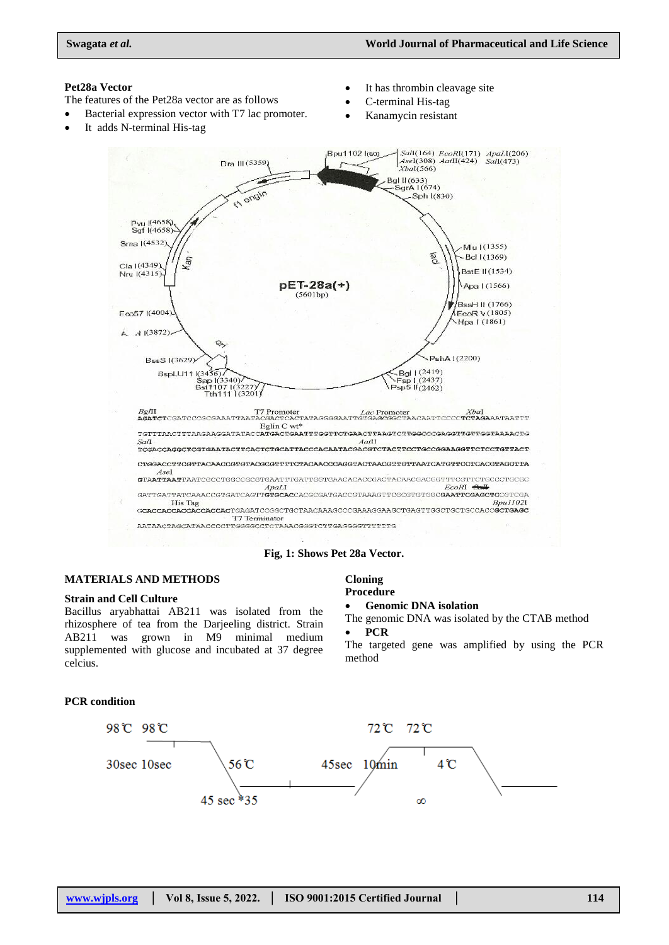# **Pet28a Vector**

- The features of the Pet28a vector are as follows
- Bacterial expression vector with T7 lac promoter.
- It adds N-terminal His-tag
- It has thrombin cleavage site
- C-terminal His-tag
- Kanamycin resistant



#### **Fig, 1: Shows Pet 28a Vector.**

### **MATERIALS AND METHODS**

### **Strain and Cell Culture**

**PCR condition**

Bacillus aryabhattai AB211 was isolated from the rhizosphere of tea from the Darjeeling district. Strain AB211 was grown in M9 minimal medium supplemented with glucose and incubated at 37 degree celcius.

#### **Cloning Procedure**

#### **Genomic DNA isolation**

The genomic DNA was isolated by the CTAB method

# **PCR**

The targeted gene was amplified by using the PCR method

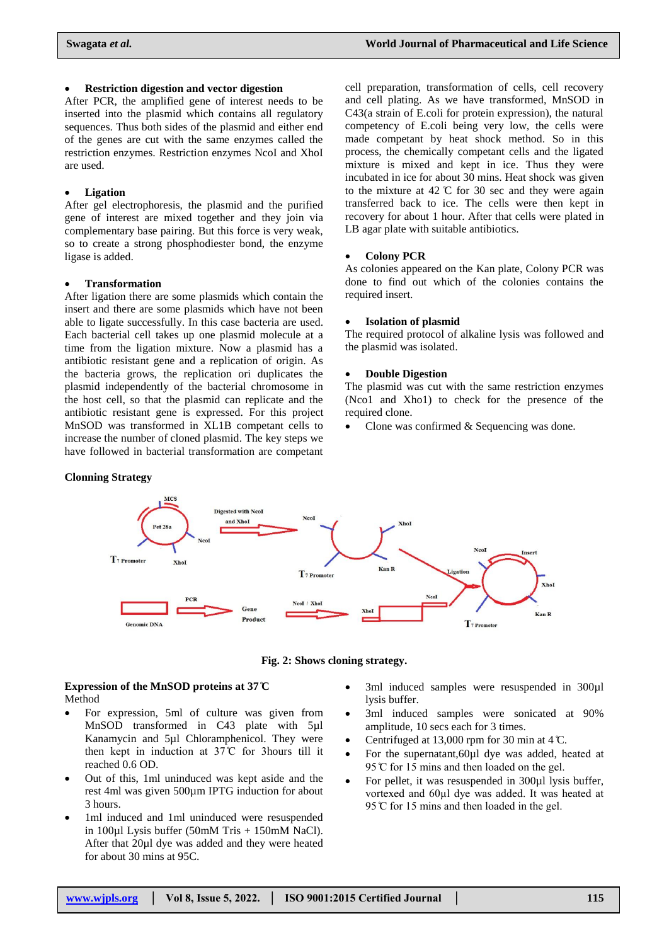#### **Restriction digestion and vector digestion**

After PCR, the amplified gene of interest needs to be inserted into the plasmid which contains all regulatory sequences. Thus both sides of the plasmid and either end of the genes are cut with the same enzymes called the restriction enzymes. Restriction enzymes NcoI and XhoI are used.

# **Ligation**

After gel electrophoresis, the plasmid and the purified gene of interest are mixed together and they join via complementary base pairing. But this force is very weak, so to create a strong phosphodiester bond, the enzyme ligase is added.

#### **Transformation**

After ligation there are some plasmids which contain the insert and there are some plasmids which have not been able to ligate successfully. In this case bacteria are used. Each bacterial cell takes up one plasmid molecule at a time from the ligation mixture. Now a plasmid has a antibiotic resistant gene and a replication of origin. As the bacteria grows, the replication ori duplicates the plasmid independently of the bacterial chromosome in the host cell, so that the plasmid can replicate and the antibiotic resistant gene is expressed. For this project MnSOD was transformed in XL1B competant cells to increase the number of cloned plasmid. The key steps we have followed in bacterial transformation are competant

# cell preparation, transformation of cells, cell recovery and cell plating. As we have transformed, MnSOD in C43(a strain of E.coli for protein expression), the natural competency of E.coli being very low, the cells were made competant by heat shock method. So in this process, the chemically competant cells and the ligated mixture is mixed and kept in ice. Thus they were incubated in ice for about 30 mins. Heat shock was given to the mixture at  $42 \text{ °C}$  for 30 sec and they were again transferred back to ice. The cells were then kept in recovery for about 1 hour. After that cells were plated in LB agar plate with suitable antibiotics.

# **Colony PCR**

As colonies appeared on the Kan plate, Colony PCR was done to find out which of the colonies contains the required insert.

#### **Isolation of plasmid**

The required protocol of alkaline lysis was followed and the plasmid was isolated.

#### **Double Digestion**

The plasmid was cut with the same restriction enzymes (Nco1 and Xho1) to check for the presence of the required clone.

Clone was confirmed & Sequencing was done.



### **Fig. 2: Shows cloning strategy.**

# **Expression of the MnSOD proteins at 37 C** Method

- For expression, 5ml of culture was given from MnSOD transformed in C43 plate with 5µl Kanamycin and 5µl Chloramphenicol. They were then kept in induction at  $37^{\circ}$  for 3 hours till it reached 0.6 OD.
- Out of this, 1ml uninduced was kept aside and the rest 4ml was given 500µm IPTG induction for about 3 hours.
- 1ml induced and 1ml uninduced were resuspended in 100 $\mu$ l Lysis buffer (50mM Tris + 150mM NaCl). After that 20µl dye was added and they were heated for about 30 mins at 95C.
- 3ml induced samples were resuspended in 300µl lysis buffer.
- 3ml induced samples were sonicated at 90% amplitude, 10 secs each for 3 times.
- Centrifuged at 13,000 rpm for 30 min at 4 C.
- For the supernatant, 60µl dye was added, heated at 95 °C for 15 mins and then loaded on the gel.
- For pellet, it was resuspended in 300µl lysis buffer, vortexed and 60ul dye was added. It was heated at 95 °C for 15 mins and then loaded in the gel.

# **Clonning Strategy**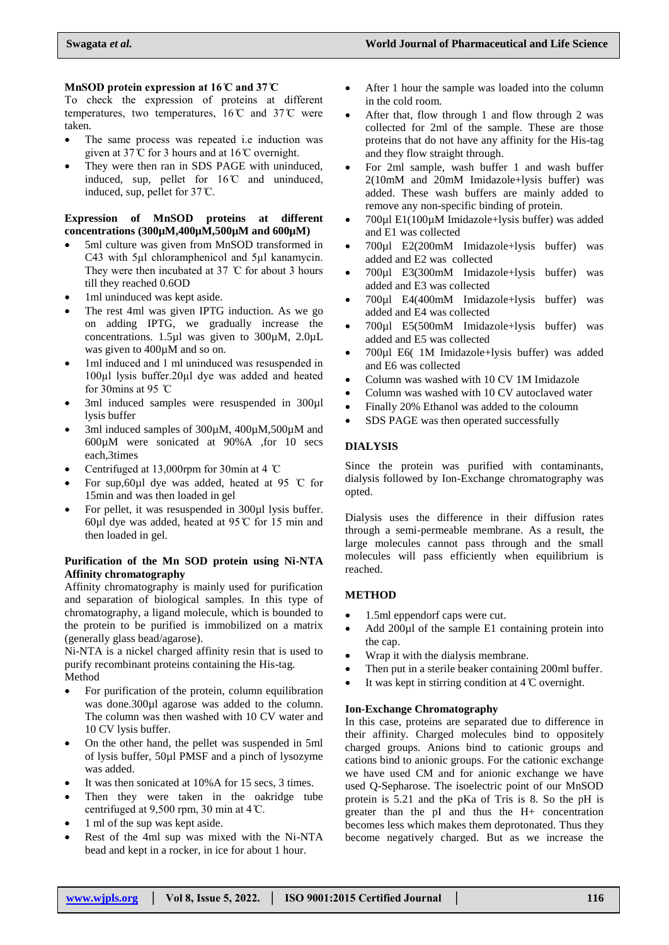# **MnSOD** protein expression at 16°C and 37°C

To check the expression of proteins at different temperatures, two temperatures,  $16^{\circ}$  and  $37^{\circ}$  were taken.

- The same process was repeated i.e induction was given at 37  $\mathbb C$  for 3 hours and at 16  $\mathbb C$  overnight.
- They were then ran in SDS PAGE with uninduced, induced, sup, pellet for  $16^{\circ}$  and uninduced. induced, sup, pellet for  $37^{\circ}$ C.

# **Expression of MnSOD proteins at different concentrations (300µM,400µM,500µM and 600µM)**

- 5ml culture was given from MnSOD transformed in C43 with 5µl chloramphenicol and 5µl kanamycin. They were then incubated at 37  $\degree$ C for about 3 hours till they reached 0.6OD
- 1ml uninduced was kept aside.
- The rest 4ml was given IPTG induction. As we go on adding IPTG, we gradually increase the concentrations. 1.5µl was given to 300µM, 2.0µL was given to 400µM and so on.
- 1ml induced and 1 ml uninduced was resuspended in 100µl lysis buffer.20µl dye was added and heated for 30mins at 95  $\degree$ C
- 3ml induced samples were resuspended in 300µl lysis buffer
- 3ml induced samples of 300µM, 400µM,500µM and 600µM were sonicated at 90%A ,for 10 secs each,3times
- Centrifuged at 13,000rpm for 30min at 4  $\degree$ C
- For sup, 60 $\mu$ l dye was added, heated at 95 °C for 15min and was then loaded in gel
- For pellet, it was resuspended in 300µl lysis buffer. 60 $\mu$ l dye was added, heated at 95°C for 15 min and then loaded in gel.

# **Purification of the Mn SOD protein using Ni-NTA Affinity chromatography**

Affinity chromatography is mainly used for purification and separation of biological samples. In this type of chromatography, a ligand molecule, which is bounded to the protein to be purified is immobilized on a matrix (generally glass bead/agarose).

Ni-NTA is a nickel charged affinity resin that is used to purify recombinant proteins containing the His-tag. Method

- For purification of the protein, column equilibration was done.300 $\mu$ l agarose was added to the column. The column was then washed with 10 CV water and 10 CV lysis buffer.
- On the other hand, the pellet was suspended in 5ml of lysis buffer, 50µl PMSF and a pinch of lysozyme was added.
- It was then sonicated at 10%A for 15 secs, 3 times.
- Then they were taken in the oakridge tube centrifuged at 9.500 rpm, 30 min at 4  $\mathbb{C}$ .
- 1 ml of the sup was kept aside.
- Rest of the 4ml sup was mixed with the Ni-NTA bead and kept in a rocker, in ice for about 1 hour.
- After 1 hour the sample was loaded into the column in the cold room.
- After that, flow through 1 and flow through 2 was collected for 2ml of the sample. These are those proteins that do not have any affinity for the His-tag and they flow straight through.
- For 2ml sample, wash buffer 1 and wash buffer 2(10mM and 20mM Imidazole+lysis buffer) was added. These wash buffers are mainly added to remove any non-specific binding of protein.
- 700µl E1(100µM Imidazole+lysis buffer) was added and E1 was collected
- 700µl E2(200mM Imidazole+lysis buffer) was added and E2 was collected
- 700µl E3(300mM Imidazole+lysis buffer) was added and E3 was collected
- 700µl E4(400mM Imidazole+lysis buffer) was added and E4 was collected
- 700µl E5(500mM Imidazole+lysis buffer) was added and E5 was collected
- 700µl E6( 1M Imidazole+lysis buffer) was added and E6 was collected
- Column was washed with 10 CV 1M Imidazole
- Column was washed with 10 CV autoclaved water
- Finally 20% Ethanol was added to the coloumn
- SDS PAGE was then operated successfully

# **DIALYSIS**

Since the protein was purified with contaminants, dialysis followed by Ion-Exchange chromatography was opted.

Dialysis uses the difference in their diffusion rates through a semi-permeable membrane. As a result, the large molecules cannot pass through and the small molecules will pass efficiently when equilibrium is reached.

# **METHOD**

- 1.5ml eppendorf caps were cut.
- Add 200 $\mu$ l of the sample E1 containing protein into the cap.
- Wrap it with the dialysis membrane.
- Then put in a sterile beaker containing 200ml buffer.
- It was kept in stirring condition at  $4^\circ$ C overnight.

# **Ion-Exchange Chromatography**

In this case, proteins are separated due to difference in their affinity. Charged molecules bind to oppositely charged groups. Anions bind to cationic groups and cations bind to anionic groups. For the cationic exchange we have used CM and for anionic exchange we have used Q-Sepharose. The isoelectric point of our MnSOD protein is 5.21 and the pKa of Tris is 8. So the pH is greater than the pI and thus the H+ concentration becomes less which makes them deprotonated. Thus they become negatively charged. But as we increase the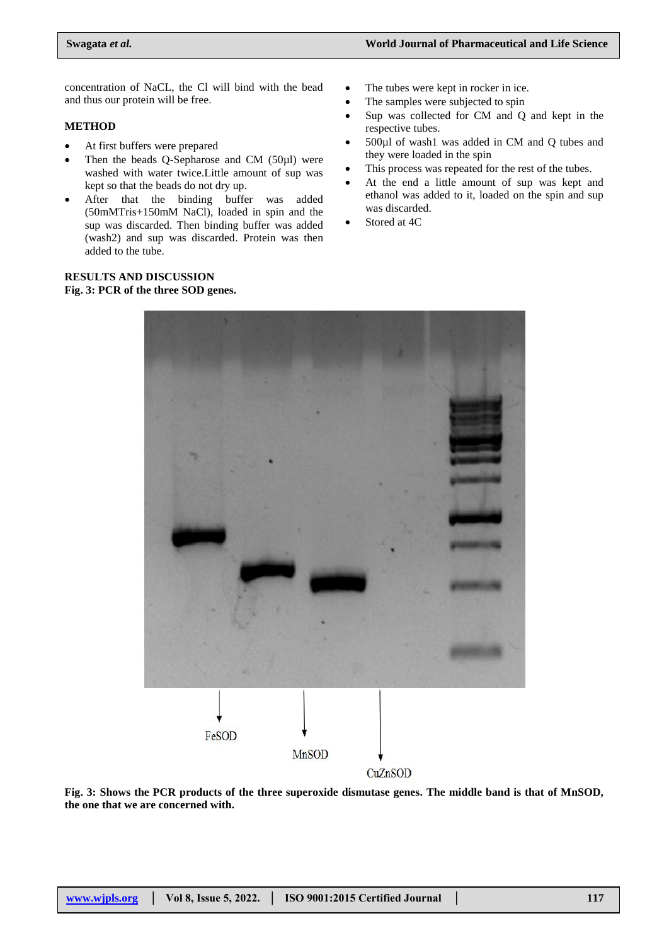concentration of NaCL, the Cl will bind with the bead and thus our protein will be free.

# **METHOD**

- At first buffers were prepared
- Then the beads Q-Sepharose and CM (50µl) were washed with water twice.Little amount of sup was kept so that the beads do not dry up.
- After that the binding buffer was added (50mMTris+150mM NaCl), loaded in spin and the sup was discarded. Then binding buffer was added (wash2) and sup was discarded. Protein was then added to the tube.

## **RESULTS AND DISCUSSION Fig. 3: PCR of the three SOD genes.**

- The tubes were kept in rocker in ice.
- The samples were subjected to spin
- Sup was collected for CM and Q and kept in the respective tubes.
- 500µl of wash1 was added in CM and Q tubes and they were loaded in the spin
- This process was repeated for the rest of the tubes.
- At the end a little amount of sup was kept and ethanol was added to it, loaded on the spin and sup was discarded.
- Stored at 4C



**Fig. 3: Shows the PCR products of the three superoxide dismutase genes. The middle band is that of MnSOD, the one that we are concerned with.**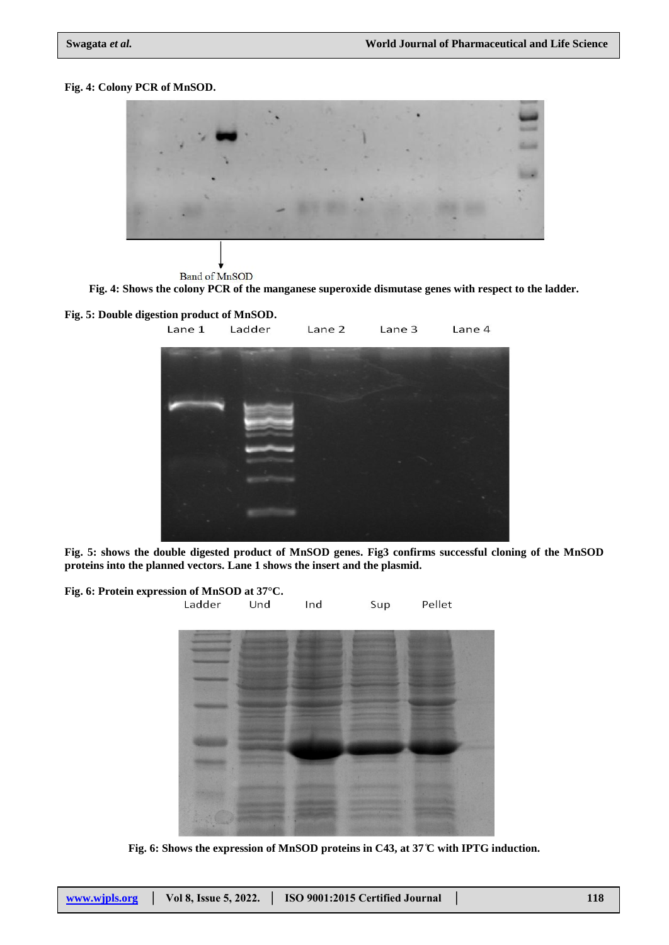# **Fig. 4: Colony PCR of MnSOD.**



**Band of MnSOD** 

**Fig. 4: Shows the colony PCR of the manganese superoxide dismutase genes with respect to the ladder.**





**Fig. 5: shows the double digested product of MnSOD genes. Fig3 confirms successful cloning of the MnSOD proteins into the planned vectors. Lane 1 shows the insert and the plasmid.**

| Fig. 6: Protein expression of MnSOD at 37°C. | Ladder | Und | Ind | Sup | Pellet |
|----------------------------------------------|--------|-----|-----|-----|--------|
|                                              |        |     |     |     |        |
|                                              |        |     |     |     |        |
|                                              |        |     |     |     |        |
|                                              |        |     |     |     |        |
|                                              |        |     |     |     |        |
|                                              |        |     |     |     |        |

**Fig. 6: Shows the expression of MnSOD proteins in C43, at 37 C with IPTG induction.**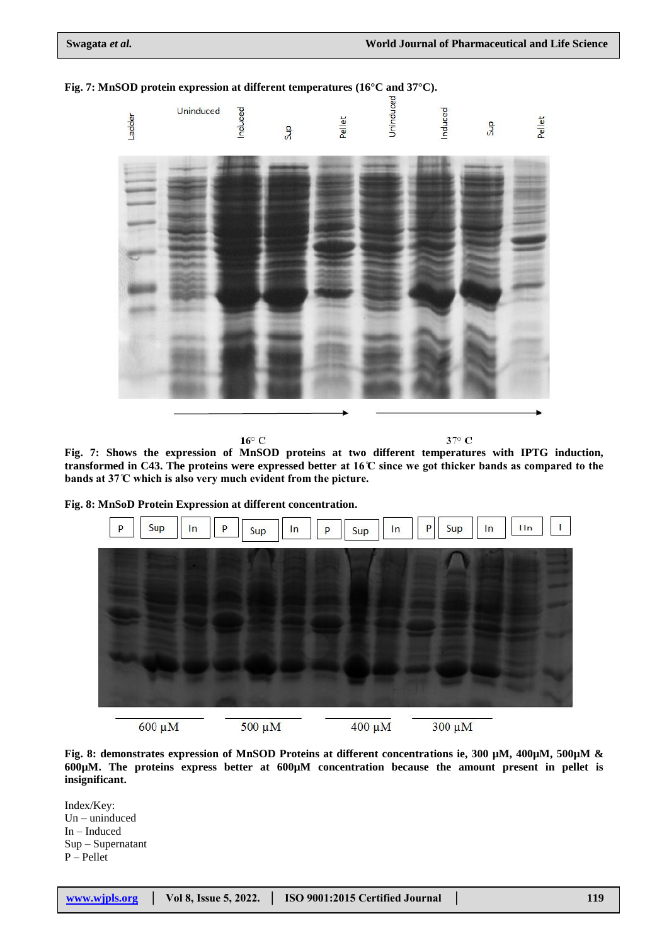

**Fig. 7: MnSOD protein expression at different temperatures (16°C and 37°C).**

 $16^{\circ}$  C

37° C

**Fig. 7: Shows the expression of MnSOD proteins at two different temperatures with IPTG induction,** transformed in C43. The proteins were expressed better at  $16\degree$  since we got thicker bands as compared to the bands at 37°C which is also very much evident from the picture.

**Fig. 8: MnSoD Protein Expression at different concentration.**



**Fig. 8: demonstrates expression of MnSOD Proteins at different concentrations ie, 300 µM, 400µM, 500µM & 600µM. The proteins express better at 600µM concentration because the amount present in pellet is insignificant.**

Index/Key: Un – uninduced In – Induced Sup – Supernatant P – Pellet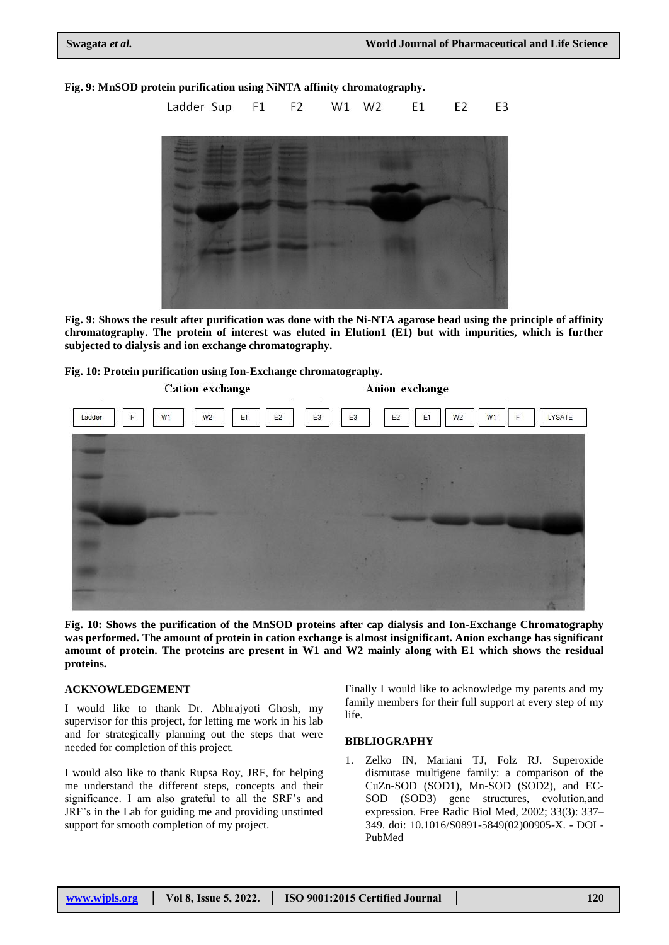# **Fig. 9: MnSOD protein purification using NiNTA affinity chromatography.**



**Fig. 9: Shows the result after purification was done with the Ni-NTA agarose bead using the principle of affinity chromatography. The protein of interest was eluted in Elution1 (E1) but with impurities, which is further subjected to dialysis and ion exchange chromatography.** 

**Fig. 10: Protein purification using Ion-Exchange chromatography.**



**Fig. 10: Shows the purification of the MnSOD proteins after cap dialysis and Ion-Exchange Chromatography was performed. The amount of protein in cation exchange is almost insignificant. Anion exchange has significant amount of protein. The proteins are present in W1 and W2 mainly along with E1 which shows the residual proteins.**

### **ACKNOWLEDGEMENT**

I would like to thank Dr. Abhrajyoti Ghosh, my supervisor for this project, for letting me work in his lab and for strategically planning out the steps that were needed for completion of this project.

I would also like to thank Rupsa Roy, JRF, for helping me understand the different steps, concepts and their significance. I am also grateful to all the SRF's and JRF's in the Lab for guiding me and providing unstinted support for smooth completion of my project.

Finally I would like to acknowledge my parents and my family members for their full support at every step of my life.

### **BIBLIOGRAPHY**

1. Zelko IN, Mariani TJ, Folz RJ. Superoxide dismutase multigene family: a comparison of the CuZn-SOD (SOD1), Mn-SOD (SOD2), and EC-SOD (SOD3) gene structures, evolution,and expression. Free Radic Biol Med, 2002; 33(3): 337– 349. doi: 10.1016/S0891-5849(02)00905-X. - DOI - PubMed